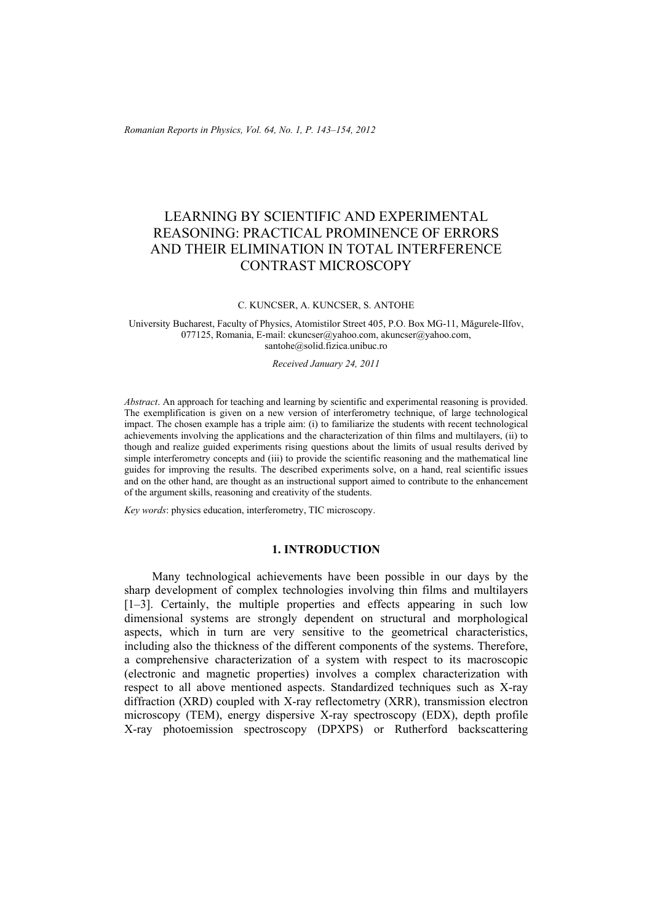*Romanian Reports in Physics, Vol. 64, No. 1, P. 143–154, 2012*

# LEARNING BY SCIENTIFIC AND EXPERIMENTAL REASONING: PRACTICAL PROMINENCE OF ERRORS AND THEIR ELIMINATION IN TOTAL INTERFERENCE CONTRAST MICROSCOPY

#### C. KUNCSER, A. KUNCSER, S. ANTOHE

University Bucharest, Faculty of Physics, Atomistilor Street 405, P.O. Box MG-11, Măgurele-Ilfov, 077125, Romania, E-mail: ckuncser@yahoo.com, akuncser@yahoo.com, santohe@solid.fizica.unibuc.ro

*Received January 24, 2011* 

*Abstract*. An approach for teaching and learning by scientific and experimental reasoning is provided. The exemplification is given on a new version of interferometry technique, of large technological impact. The chosen example has a triple aim: (i) to familiarize the students with recent technological achievements involving the applications and the characterization of thin films and multilayers, (ii) to though and realize guided experiments rising questions about the limits of usual results derived by simple interferometry concepts and (iii) to provide the scientific reasoning and the mathematical line guides for improving the results. The described experiments solve, on a hand, real scientific issues and on the other hand, are thought as an instructional support aimed to contribute to the enhancement of the argument skills, reasoning and creativity of the students.

*Key words*: physics education, interferometry, TIC microscopy.

## **1. INTRODUCTION**

Many technological achievements have been possible in our days by the sharp development of complex technologies involving thin films and multilayers [1–3]. Certainly, the multiple properties and effects appearing in such low dimensional systems are strongly dependent on structural and morphological aspects, which in turn are very sensitive to the geometrical characteristics, including also the thickness of the different components of the systems. Therefore, a comprehensive characterization of a system with respect to its macroscopic (electronic and magnetic properties) involves a complex characterization with respect to all above mentioned aspects. Standardized techniques such as X-ray diffraction (XRD) coupled with X-ray reflectometry (XRR), transmission electron microscopy (TEM), energy dispersive X-ray spectroscopy (EDX), depth profile X-ray photoemission spectroscopy (DPXPS) or Rutherford backscattering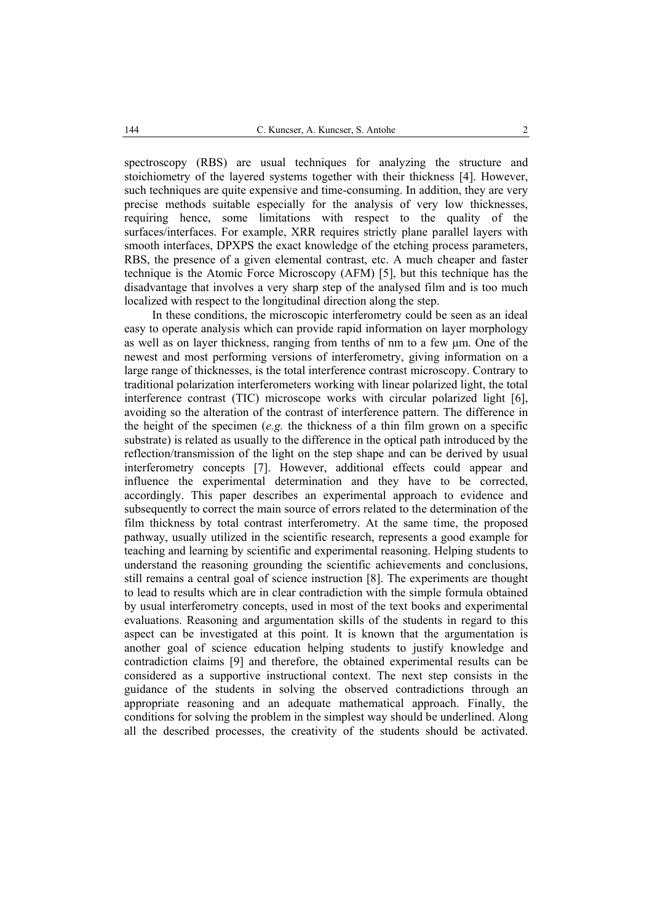spectroscopy (RBS) are usual techniques for analyzing the structure and stoichiometry of the layered systems together with their thickness [4]. However, such techniques are quite expensive and time-consuming. In addition, they are very precise methods suitable especially for the analysis of very low thicknesses, requiring hence, some limitations with respect to the quality of the surfaces/interfaces. For example, XRR requires strictly plane parallel layers with smooth interfaces, DPXPS the exact knowledge of the etching process parameters, RBS, the presence of a given elemental contrast, etc. A much cheaper and faster technique is the Atomic Force Microscopy (AFM) [5], but this technique has the disadvantage that involves a very sharp step of the analysed film and is too much localized with respect to the longitudinal direction along the step.

In these conditions, the microscopic interferometry could be seen as an ideal easy to operate analysis which can provide rapid information on layer morphology as well as on layer thickness, ranging from tenths of nm to a few µm. One of the newest and most performing versions of interferometry, giving information on a large range of thicknesses, is the total interference contrast microscopy. Contrary to traditional polarization interferometers working with linear polarized light, the total interference contrast (TIC) microscope works with circular polarized light [6], avoiding so the alteration of the contrast of interference pattern. The difference in the height of the specimen (*e.g.* the thickness of a thin film grown on a specific substrate) is related as usually to the difference in the optical path introduced by the reflection/transmission of the light on the step shape and can be derived by usual interferometry concepts [7]. However, additional effects could appear and influence the experimental determination and they have to be corrected, accordingly. This paper describes an experimental approach to evidence and subsequently to correct the main source of errors related to the determination of the film thickness by total contrast interferometry. At the same time, the proposed pathway, usually utilized in the scientific research, represents a good example for teaching and learning by scientific and experimental reasoning. Helping students to understand the reasoning grounding the scientific achievements and conclusions, still remains a central goal of science instruction [8]. The experiments are thought to lead to results which are in clear contradiction with the simple formula obtained by usual interferometry concepts, used in most of the text books and experimental evaluations. Reasoning and argumentation skills of the students in regard to this aspect can be investigated at this point. It is known that the argumentation is another goal of science education helping students to justify knowledge and contradiction claims [9] and therefore, the obtained experimental results can be considered as a supportive instructional context. The next step consists in the guidance of the students in solving the observed contradictions through an appropriate reasoning and an adequate mathematical approach. Finally, the conditions for solving the problem in the simplest way should be underlined. Along all the described processes, the creativity of the students should be activated.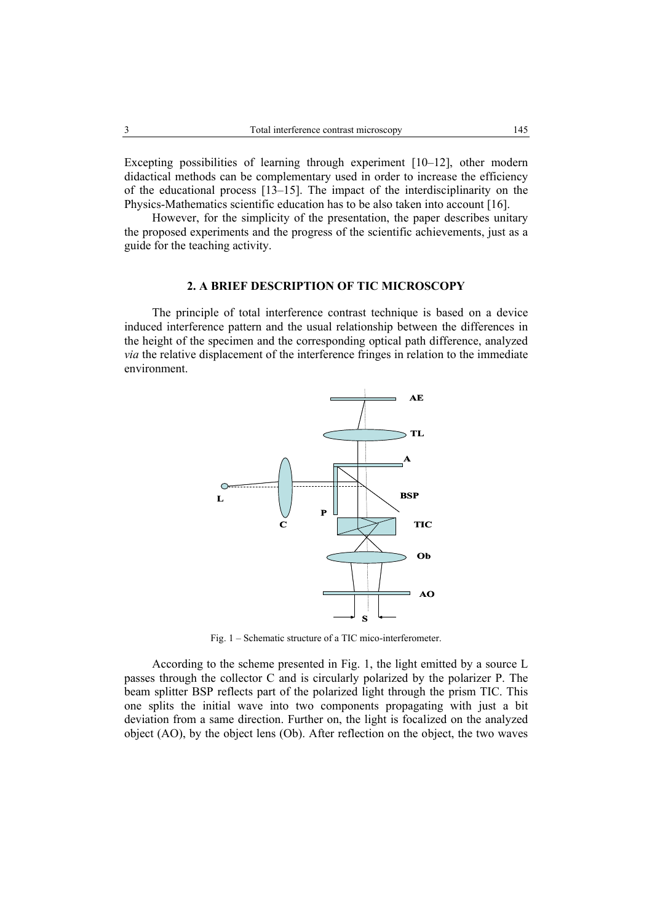Excepting possibilities of learning through experiment [10–12], other modern didactical methods can be complementary used in order to increase the efficiency of the educational process [13–15]. The impact of the interdisciplinarity on the Physics-Mathematics scientific education has to be also taken into account [16].

However, for the simplicity of the presentation, the paper describes unitary the proposed experiments and the progress of the scientific achievements, just as a guide for the teaching activity.

#### **2. A BRIEF DESCRIPTION OF TIC MICROSCOPY**

The principle of total interference contrast technique is based on a device induced interference pattern and the usual relationship between the differences in the height of the specimen and the corresponding optical path difference, analyzed *via* the relative displacement of the interference fringes in relation to the immediate environment.



Fig. 1 – Schematic structure of a TIC mico-interferometer.

According to the scheme presented in Fig. 1, the light emitted by a source L passes through the collector C and is circularly polarized by the polarizer P. The beam splitter BSP reflects part of the polarized light through the prism TIC. This one splits the initial wave into two components propagating with just a bit deviation from a same direction. Further on, the light is focalized on the analyzed object (AO), by the object lens (Ob). After reflection on the object, the two waves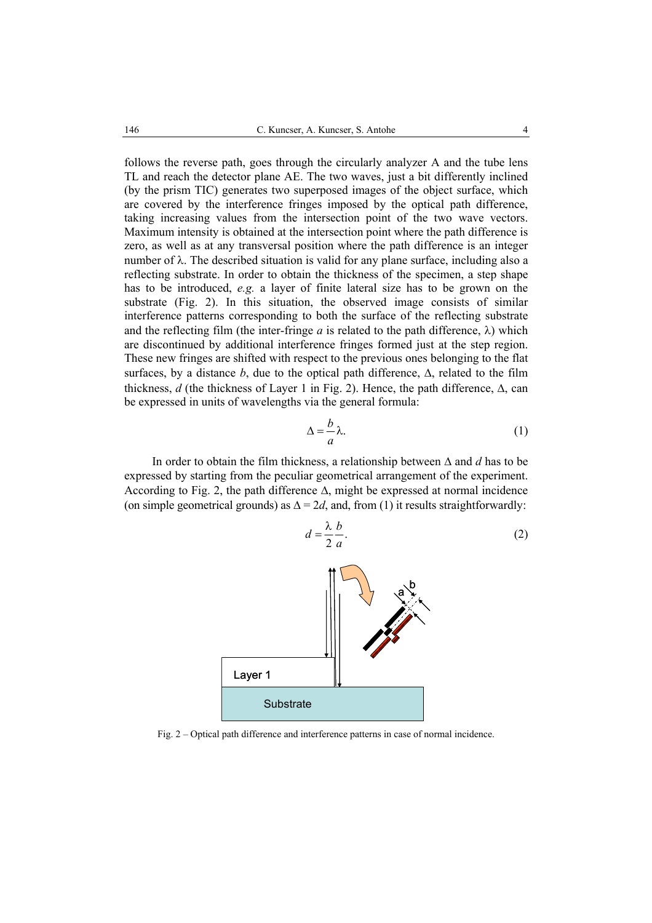follows the reverse path, goes through the circularly analyzer A and the tube lens TL and reach the detector plane AE. The two waves, just a bit differently inclined (by the prism TIC) generates two superposed images of the object surface, which are covered by the interference fringes imposed by the optical path difference, taking increasing values from the intersection point of the two wave vectors. Maximum intensity is obtained at the intersection point where the path difference is zero, as well as at any transversal position where the path difference is an integer number of  $\lambda$ . The described situation is valid for any plane surface, including also a reflecting substrate. In order to obtain the thickness of the specimen, a step shape has to be introduced, *e.g.* a layer of finite lateral size has to be grown on the substrate (Fig. 2). In this situation, the observed image consists of similar interference patterns corresponding to both the surface of the reflecting substrate and the reflecting film (the inter-fringe *a* is related to the path difference,  $\lambda$ ) which are discontinued by additional interference fringes formed just at the step region. These new fringes are shifted with respect to the previous ones belonging to the flat surfaces, by a distance  $b$ , due to the optical path difference,  $\Delta$ , related to the film thickness, *d* (the thickness of Layer 1 in Fig. 2). Hence, the path difference,  $\Delta$ , can be expressed in units of wavelengths via the general formula:

$$
\Delta = \frac{b}{a}\lambda.
$$
 (1)

In order to obtain the film thickness, a relationship between ∆ and *d* has to be expressed by starting from the peculiar geometrical arrangement of the experiment. According to Fig. 2, the path difference  $\Delta$ , might be expressed at normal incidence (on simple geometrical grounds) as  $\Delta = 2d$ , and, from (1) it results straightforwardly:



Fig. 2 – Optical path difference and interference patterns in case of normal incidence.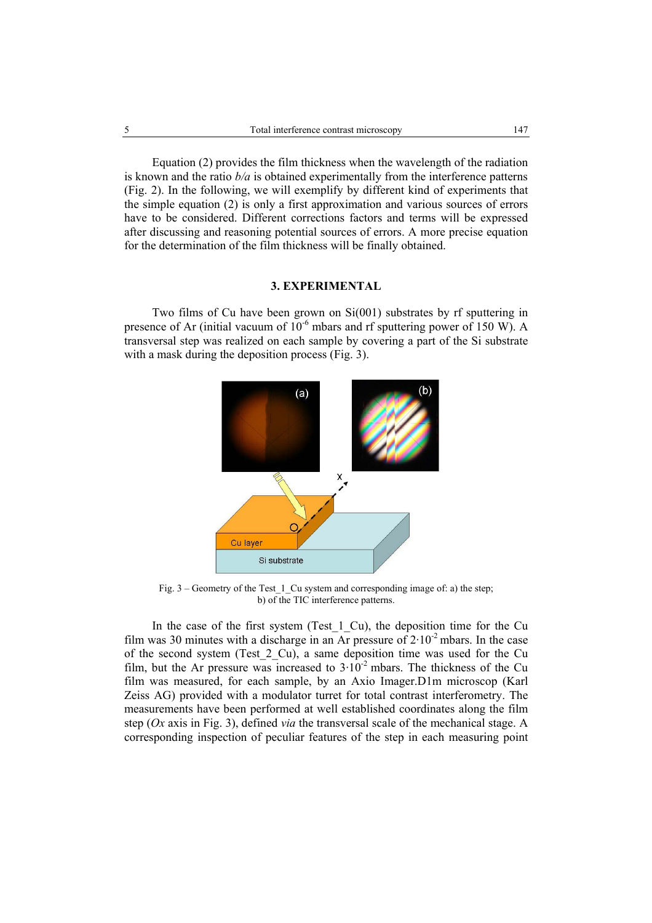Equation (2) provides the film thickness when the wavelength of the radiation is known and the ratio *b/a* is obtained experimentally from the interference patterns (Fig. 2). In the following, we will exemplify by different kind of experiments that the simple equation (2) is only a first approximation and various sources of errors have to be considered. Different corrections factors and terms will be expressed after discussing and reasoning potential sources of errors. A more precise equation for the determination of the film thickness will be finally obtained.

## **3. EXPERIMENTAL**

Two films of Cu have been grown on Si(001) substrates by rf sputtering in presence of Ar (initial vacuum of  $10^{-6}$  mbars and rf sputtering power of 150 W). A transversal step was realized on each sample by covering a part of the Si substrate with a mask during the deposition process (Fig. 3).



Fig. 3 – Geometry of the Test 1 Cu system and corresponding image of: a) the step; b) of the TIC interference patterns.

In the case of the first system (Test  $1$  Cu), the deposition time for the Cu film was 30 minutes with a discharge in an Ar pressure of  $2 \cdot 10^{-2}$  mbars. In the case of the second system (Test\_2\_Cu), a same deposition time was used for the Cu film, but the Ar pressure was increased to  $3 \cdot 10^{-2}$  mbars. The thickness of the Cu film was measured, for each sample, by an Axio Imager.D1m microscop (Karl Zeiss AG) provided with a modulator turret for total contrast interferometry. The measurements have been performed at well established coordinates along the film step (*Ox* axis in Fig. 3), defined *via* the transversal scale of the mechanical stage. A corresponding inspection of peculiar features of the step in each measuring point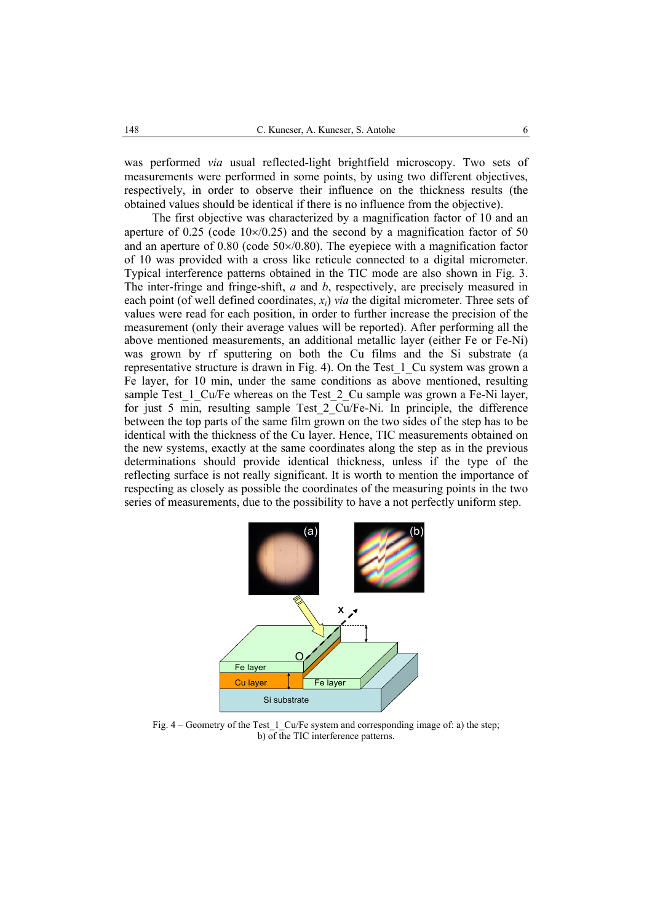was performed *via* usual reflected-light brightfield microscopy. Two sets of measurements were performed in some points, by using two different objectives, respectively, in order to observe their influence on the thickness results (the obtained values should be identical if there is no influence from the objective).

The first objective was characterized by a magnification factor of 10 and an aperture of  $0.25$  (code  $10 \times 0.25$ ) and the second by a magnification factor of 50 and an aperture of 0.80 (code 50×/0.80). The eyepiece with a magnification factor of 10 was provided with a cross like reticule connected to a digital micrometer. Typical interference patterns obtained in the TIC mode are also shown in Fig. 3. The inter-fringe and fringe-shift, *a* and *b*, respectively, are precisely measured in each point (of well defined coordinates, *xi*) *via* the digital micrometer. Three sets of values were read for each position, in order to further increase the precision of the measurement (only their average values will be reported). After performing all the above mentioned measurements, an additional metallic layer (either Fe or Fe-Ni) was grown by rf sputtering on both the Cu films and the Si substrate (a representative structure is drawn in Fig. 4). On the Test\_1\_Cu system was grown a Fe layer, for 10 min, under the same conditions as above mentioned, resulting sample Test 1 Cu/Fe whereas on the Test 2 Cu sample was grown a Fe-Ni layer, for just 5 min, resulting sample Test\_2\_Cu/Fe-Ni. In principle, the difference between the top parts of the same film grown on the two sides of the step has to be identical with the thickness of the Cu layer. Hence, TIC measurements obtained on the new systems, exactly at the same coordinates along the step as in the previous determinations should provide identical thickness, unless if the type of the reflecting surface is not really significant. It is worth to mention the importance of respecting as closely as possible the coordinates of the measuring points in the two series of measurements, due to the possibility to have a not perfectly uniform step.



Fig. 4 – Geometry of the Test 1 Cu/Fe system and corresponding image of: a) the step; b) of the TIC interference patterns.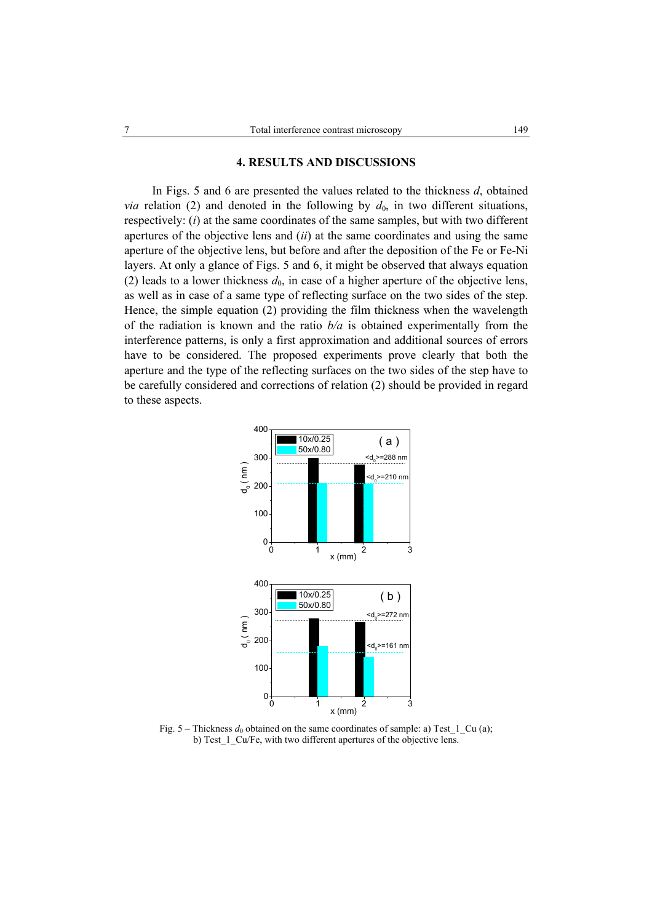### **4. RESULTS AND DISCUSSIONS**

In Figs. 5 and 6 are presented the values related to the thickness *d*, obtained *via* relation (2) and denoted in the following by  $d_0$ , in two different situations, respectively: (*i*) at the same coordinates of the same samples, but with two different apertures of the objective lens and (*ii*) at the same coordinates and using the same aperture of the objective lens, but before and after the deposition of the Fe or Fe-Ni layers. At only a glance of Figs. 5 and 6, it might be observed that always equation (2) leads to a lower thickness  $d_0$ , in case of a higher aperture of the objective lens, as well as in case of a same type of reflecting surface on the two sides of the step. Hence, the simple equation (2) providing the film thickness when the wavelength of the radiation is known and the ratio *b/a* is obtained experimentally from the interference patterns, is only a first approximation and additional sources of errors have to be considered. The proposed experiments prove clearly that both the aperture and the type of the reflecting surfaces on the two sides of the step have to be carefully considered and corrections of relation (2) should be provided in regard to these aspects.



Fig. 5 – Thickness  $d_0$  obtained on the same coordinates of sample: a) Test 1 Cu (a); b) Test 1 Cu/Fe, with two different apertures of the objective lens.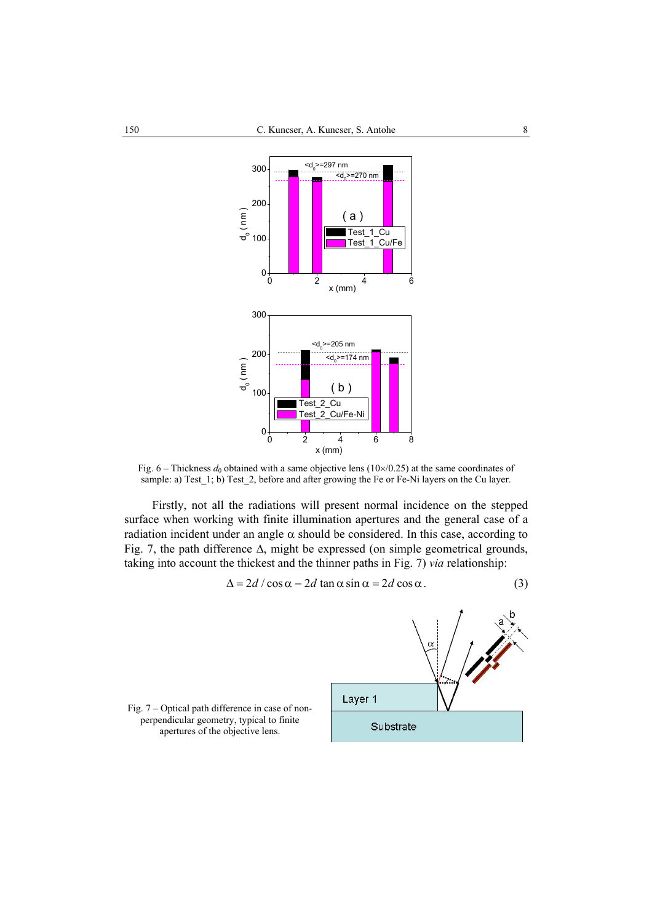

Fig.  $6$  – Thickness  $d_0$  obtained with a same objective lens ( $10 \times / 0.25$ ) at the same coordinates of sample: a) Test 1; b) Test 2, before and after growing the Fe or Fe-Ni layers on the Cu layer.

Firstly, not all the radiations will present normal incidence on the stepped surface when working with finite illumination apertures and the general case of a radiation incident under an angle  $\alpha$  should be considered. In this case, according to Fig. 7, the path difference ∆, might be expressed (on simple geometrical grounds, taking into account the thickest and the thinner paths in Fig. 7) *via* relationship:

$$
\Delta = 2d / \cos \alpha - 2d \tan \alpha \sin \alpha = 2d \cos \alpha. \tag{3}
$$

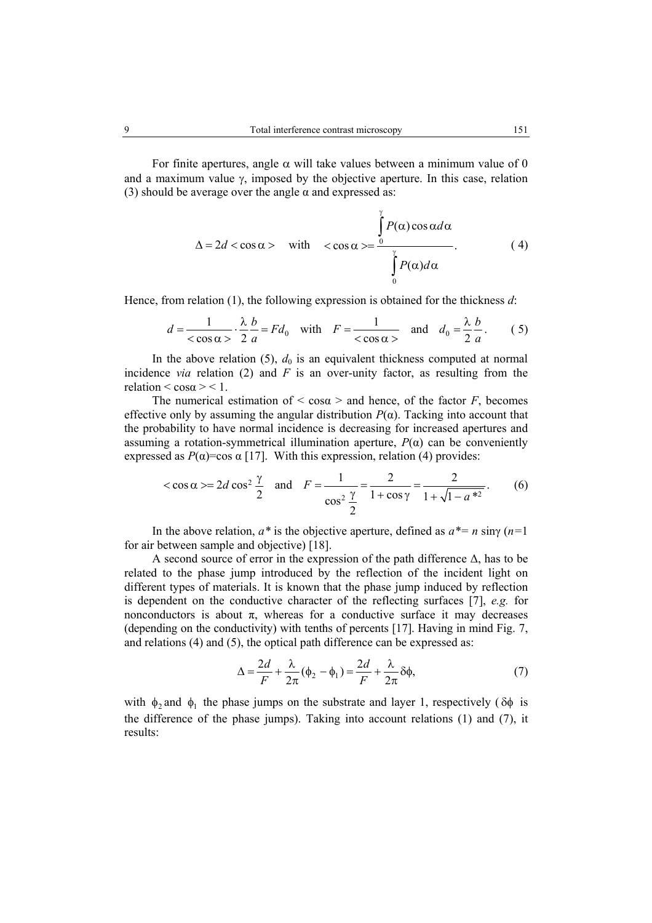For finite apertures, angle  $\alpha$  will take values between a minimum value of 0 and a maximum value  $\gamma$ , imposed by the objective aperture. In this case, relation (3) should be average over the angle  $\alpha$  and expressed as:

$$
\Delta = 2d < \cos \alpha > \quad \text{with} \quad < \cos \alpha > = \frac{\int_{0}^{\gamma} P(\alpha) \cos \alpha d\alpha}{\int_{0}^{\gamma} P(\alpha) d\alpha}.
$$
 (4)

Hence, from relation (1), the following expression is obtained for the thickness *d*:

$$
d = \frac{1}{\langle \cos \alpha \rangle} \cdot \frac{\lambda}{2} \frac{b}{a} = Fd_0 \quad \text{with} \quad F = \frac{1}{\langle \cos \alpha \rangle} \quad \text{and} \quad d_0 = \frac{\lambda}{2} \frac{b}{a} \,. \tag{5}
$$

In the above relation  $(5)$ ,  $d_0$  is an equivalent thickness computed at normal incidence *via* relation (2) and  $F$  is an over-unity factor, as resulting from the relation  $\leq \cos \alpha \geq 1$ .

The numerical estimation of  $\leq \cos \alpha$  > and hence, of the factor *F*, becomes effective only by assuming the angular distribution  $P(\alpha)$ . Tacking into account that the probability to have normal incidence is decreasing for increased apertures and assuming a rotation-symmetrical illumination aperture,  $P(\alpha)$  can be conveniently expressed as  $P(\alpha)$ =cos  $\alpha$  [17]. With this expression, relation (4) provides:

$$
<\cos \alpha > = 2d \cos^2 \frac{\gamma}{2}
$$
 and  $F = \frac{1}{\cos^2 \frac{\gamma}{2}} = \frac{2}{1 + \cos \gamma} = \frac{2}{1 + \sqrt{1 - a^{*2}}}$ . (6)

In the above relation,  $a^*$  is the objective aperture, defined as  $a^* = n \sin \gamma (n=1)$ for air between sample and objective) [18].

A second source of error in the expression of the path difference ∆, has to be related to the phase jump introduced by the reflection of the incident light on different types of materials. It is known that the phase jump induced by reflection is dependent on the conductive character of the reflecting surfaces [7], *e.g.* for nonconductors is about  $\pi$ , whereas for a conductive surface it may decreases (depending on the conductivity) with tenths of percents [17]. Having in mind Fig. 7, and relations (4) and (5), the optical path difference can be expressed as:

$$
\Delta = \frac{2d}{F} + \frac{\lambda}{2\pi} (\phi_2 - \phi_1) = \frac{2d}{F} + \frac{\lambda}{2\pi} \delta \phi,
$$
\n(7)

with  $\phi_2$  and  $\phi_1$  the phase jumps on the substrate and layer 1, respectively ( $\delta\phi$  is the difference of the phase jumps). Taking into account relations (1) and (7), it results: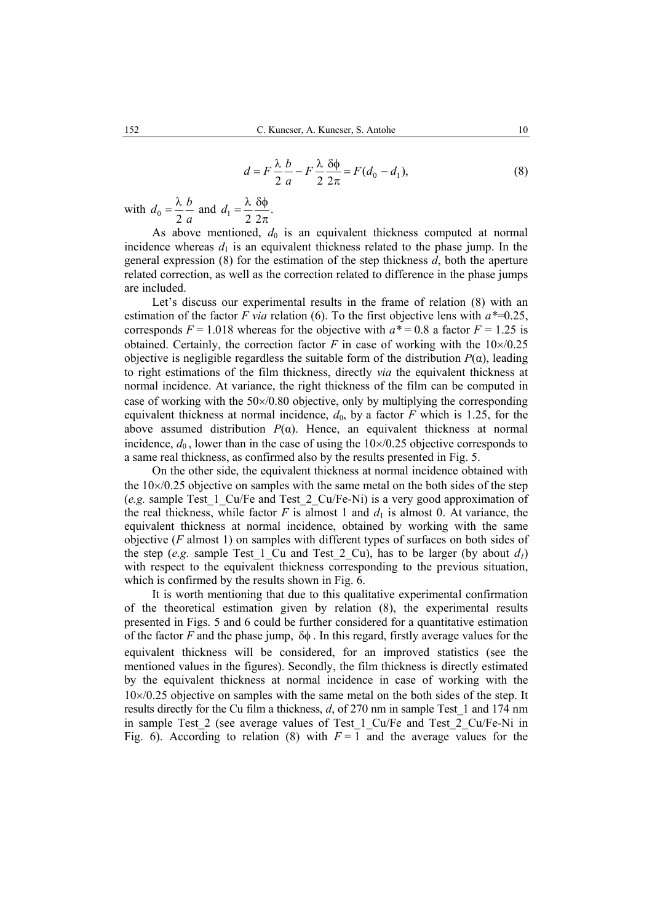$$
d = F\frac{\lambda}{2}\frac{b}{a} - F\frac{\lambda}{2}\frac{\delta\phi}{2\pi} = F(d_0 - d_1),
$$
\n(8)

with  $d_0 = \frac{\lambda}{2} \frac{b}{a}$  $=\frac{\lambda}{2}\frac{b}{a}$  and  $d_1 = \frac{\lambda}{2}\frac{\delta\phi}{2\pi}$ .

As above mentioned,  $d_0$  is an equivalent thickness computed at normal incidence whereas  $d_1$  is an equivalent thickness related to the phase jump. In the general expression (8) for the estimation of the step thickness *d*, both the aperture related correction, as well as the correction related to difference in the phase jumps are included.

Let's discuss our experimental results in the frame of relation  $(8)$  with an estimation of the factor *F via* relation (6). To the first objective lens with *a\**=0.25, corresponds  $F = 1.018$  whereas for the objective with  $a^* = 0.8$  a factor  $F = 1.25$  is obtained. Certainly, the correction factor  $F$  in case of working with the  $10\times/0.25$ objective is negligible regardless the suitable form of the distribution  $P(\alpha)$ , leading to right estimations of the film thickness, directly *via* the equivalent thickness at normal incidence. At variance, the right thickness of the film can be computed in case of working with the 50×/0.80 objective, only by multiplying the corresponding equivalent thickness at normal incidence,  $d_0$ , by a factor *F* which is 1.25, for the above assumed distribution  $P(\alpha)$ . Hence, an equivalent thickness at normal incidence,  $d_0$ , lower than in the case of using the  $10 \times 0.25$  objective corresponds to a same real thickness, as confirmed also by the results presented in Fig. 5.

On the other side, the equivalent thickness at normal incidence obtained with the  $10\times/0.25$  objective on samples with the same metal on the both sides of the step (*e.g.* sample Test\_1\_Cu/Fe and Test\_2\_Cu/Fe-Ni) is a very good approximation of the real thickness, while factor  $F$  is almost 1 and  $d_1$  is almost 0. At variance, the equivalent thickness at normal incidence, obtained by working with the same objective (*F* almost 1) on samples with different types of surfaces on both sides of the step (*e.g.* sample Test 1 Cu and Test 2 Cu), has to be larger (by about  $d_1$ ) with respect to the equivalent thickness corresponding to the previous situation, which is confirmed by the results shown in Fig. 6.

It is worth mentioning that due to this qualitative experimental confirmation of the theoretical estimation given by relation (8), the experimental results presented in Figs. 5 and 6 could be further considered for a quantitative estimation of the factor *F* and the phase jump,  $\delta\phi$ . In this regard, firstly average values for the equivalent thickness will be considered, for an improved statistics (see the mentioned values in the figures). Secondly, the film thickness is directly estimated by the equivalent thickness at normal incidence in case of working with the  $10\times/0.25$  objective on samples with the same metal on the both sides of the step. It results directly for the Cu film a thickness, *d*, of 270 nm in sample Test\_1 and 174 nm in sample Test 2 (see average values of Test 1 Cu/Fe and Test 2 Cu/Fe-Ni in Fig. 6). According to relation (8) with  $F = 1$  and the average values for the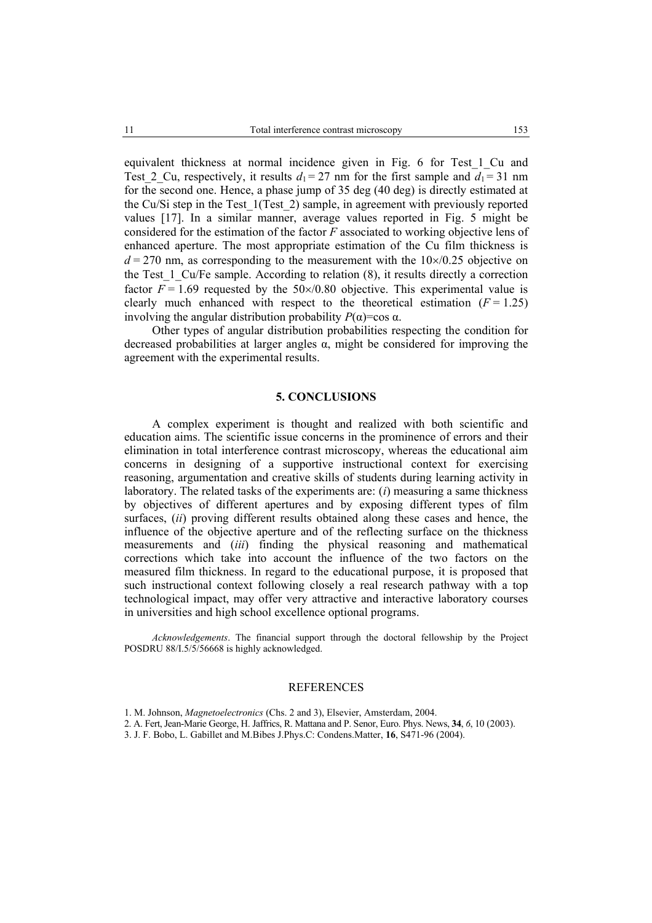equivalent thickness at normal incidence given in Fig. 6 for Test\_1\_Cu and Test 2 Cu, respectively, it results  $d_1 = 27$  nm for the first sample and  $d_1 = 31$  nm for the second one. Hence, a phase jump of 35 deg (40 deg) is directly estimated at the Cu/Si step in the Test\_1(Test\_2) sample, in agreement with previously reported values [17]. In a similar manner, average values reported in Fig. 5 might be considered for the estimation of the factor *F* associated to working objective lens of enhanced aperture. The most appropriate estimation of the Cu film thickness is  $d = 270$  nm, as corresponding to the measurement with the  $10 \times / 0.25$  objective on the Test 1 Cu/Fe sample. According to relation (8), it results directly a correction factor  $F = 1.69$  requested by the  $50 \times / 0.80$  objective. This experimental value is clearly much enhanced with respect to the theoretical estimation  $(F = 1.25)$ involving the angular distribution probability  $P(\alpha)$ =cos  $\alpha$ .

Other types of angular distribution probabilities respecting the condition for decreased probabilities at larger angles  $\alpha$ , might be considered for improving the agreement with the experimental results.

## **5. CONCLUSIONS**

A complex experiment is thought and realized with both scientific and education aims. The scientific issue concerns in the prominence of errors and their elimination in total interference contrast microscopy, whereas the educational aim concerns in designing of a supportive instructional context for exercising reasoning, argumentation and creative skills of students during learning activity in laboratory. The related tasks of the experiments are: (*i*) measuring a same thickness by objectives of different apertures and by exposing different types of film surfaces, (*ii*) proving different results obtained along these cases and hence, the influence of the objective aperture and of the reflecting surface on the thickness measurements and (*iii*) finding the physical reasoning and mathematical corrections which take into account the influence of the two factors on the measured film thickness. In regard to the educational purpose, it is proposed that such instructional context following closely a real research pathway with a top technological impact, may offer very attractive and interactive laboratory courses in universities and high school excellence optional programs.

*Acknowledgements*. The financial support through the doctoral fellowship by the Project POSDRU 88/I.5/5/56668 is highly acknowledged.

#### REFERENCES

- 2. A. Fert, Jean-Marie George, H. Jaffrics, R. Mattana and P. Senor, Euro. Phys. News, **34**, *6*, 10 (2003).
- 3. J. F. Bobo, L. Gabillet and M.Bibes J.Phys.C: Condens.Matter, **16**, S471-96 (2004).

<sup>1.</sup> M. Johnson, *Magnetoelectronics* (Chs. 2 and 3), Elsevier, Amsterdam, 2004.